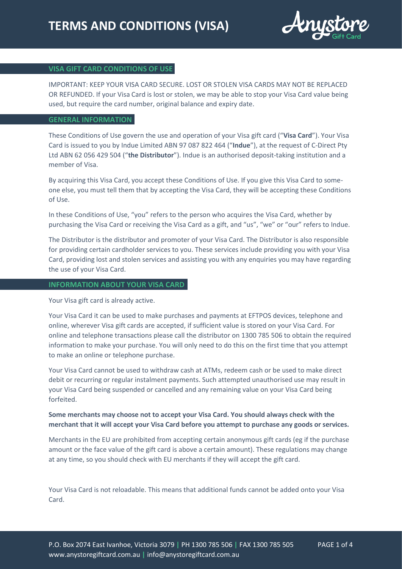

# **VISA GIFT CARD CONDITIONS OF USE**

IMPORTANT: KEEP YOUR VISA CARD SECURE. LOST OR STOLEN VISA CARDS MAY NOT BE REPLACED OR REFUNDED. If your Visa Card is lost or stolen, we may be able to stop your Visa Card value being used, but require the card number, original balance and expiry date.

#### **GENERAL INFORMATION**

These Conditions of Use govern the use and operation of your Visa gift card ("**Visa Card**"). Your Visa Card is issued to you by Indue Limited ABN 97 087 822 464 ("**Indue**"), at the request of C-Direct Pty Ltd ABN 62 056 429 504 ("**the Distributor**"). Indue is an authorised deposit-taking institution and a member of Visa.

By acquiring this Visa Card, you accept these Conditions of Use. If you give this Visa Card to someone else, you must tell them that by accepting the Visa Card, they will be accepting these Conditions of Use.

In these Conditions of Use, "you" refers to the person who acquires the Visa Card, whether by purchasing the Visa Card or receiving the Visa Card as a gift, and "us", "we" or "our" refers to Indue.

The Distributor is the distributor and promoter of your Visa Card. The Distributor is also responsible for providing certain cardholder services to you. These services include providing you with your Visa Card, providing lost and stolen services and assisting you with any enquiries you may have regarding the use of your Visa Card.

## **INFORMATION ABOUT YOUR VISA CARD**

Your Visa gift card is already active.

Your Visa Card it can be used to make purchases and payments at EFTPOS devices, telephone and online, wherever Visa gift cards are accepted, if sufficient value is stored on your Visa Card. For online and telephone transactions please call the distributor on 1300 785 506 to obtain the required information to make your purchase. You will only need to do this on the first time that you attempt to make an online or telephone purchase.

Your Visa Card cannot be used to withdraw cash at ATMs, redeem cash or be used to make direct debit or recurring or regular instalment payments. Such attempted unauthorised use may result in your Visa Card being suspended or cancelled and any remaining value on your Visa Card being forfeited.

# **Some merchants may choose not to accept your Visa Card. You should always check with the merchant that it will accept your Visa Card before you attempt to purchase any goods or services.**

Merchants in the EU are prohibited from accepting certain anonymous gift cards (eg if the purchase amount or the face value of the gift card is above a certain amount). These regulations may change at any time, so you should check with EU merchants if they will accept the gift card.

Your Visa Card is not reloadable. This means that additional funds cannot be added onto your Visa Card.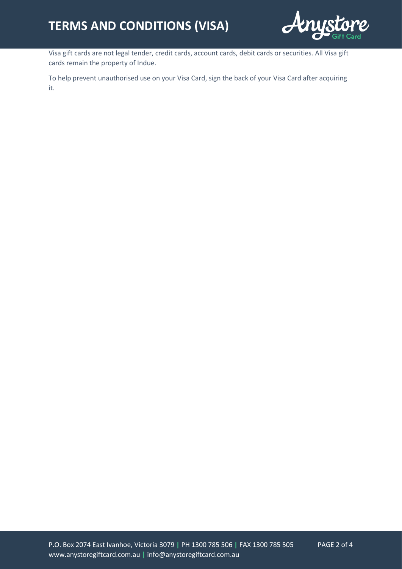

Visa gift cards are not legal tender, credit cards, account cards, debit cards or securities. All Visa gift cards remain the property of Indue.

To help prevent unauthorised use on your Visa Card, sign the back of your Visa Card after acquiring it.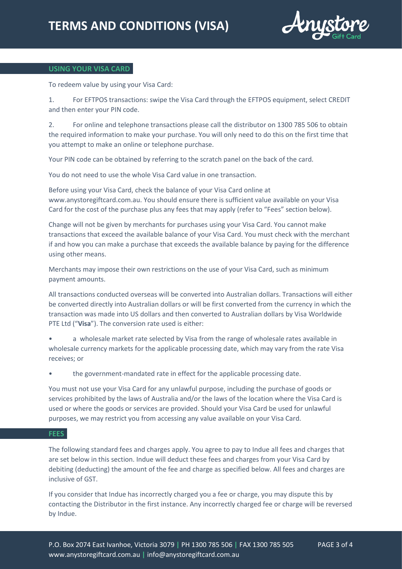

# **USING YOUR VISA CARD**

To redeem value by using your Visa Card:

1. For EFTPOS transactions: swipe the Visa Card through the EFTPOS equipment, select CREDIT and then enter your PIN code.

2. For online and telephone transactions please call the distributor on 1300 785 506 to obtain the required information to make your purchase. You will only need to do this on the first time that you attempt to make an online or telephone purchase.

Your PIN code can be obtained by referring to the scratch panel on the back of the card.

You do not need to use the whole Visa Card value in one transaction.

Before using your Visa Card, check the balance of your Visa Card online at www.anystoregiftcard.com.au. You should ensure there is sufficient value available on your Visa Card for the cost of the purchase plus any fees that may apply (refer to "Fees" section below).

Change will not be given by merchants for purchases using your Visa Card. You cannot make transactions that exceed the available balance of your Visa Card. You must check with the merchant if and how you can make a purchase that exceeds the available balance by paying for the difference using other means.

Merchants may impose their own restrictions on the use of your Visa Card, such as minimum payment amounts.

All transactions conducted overseas will be converted into Australian dollars. Transactions will either be converted directly into Australian dollars or will be first converted from the currency in which the transaction was made into US dollars and then converted to Australian dollars by Visa Worldwide PTE Ltd ("**Visa**"). The conversion rate used is either:

• a wholesale market rate selected by Visa from the range of wholesale rates available in wholesale currency markets for the applicable processing date, which may vary from the rate Visa receives; or

• the government-mandated rate in effect for the applicable processing date.

You must not use your Visa Card for any unlawful purpose, including the purchase of goods or services prohibited by the laws of Australia and/or the laws of the location where the Visa Card is used or where the goods or services are provided. Should your Visa Card be used for unlawful purposes, we may restrict you from accessing any value available on your Visa Card.

## **FEES**

The following standard fees and charges apply. You agree to pay to Indue all fees and charges that are set below in this section. Indue will deduct these fees and charges from your Visa Card by debiting (deducting) the amount of the fee and charge as specified below. All fees and charges are inclusive of GST.

If you consider that Indue has incorrectly charged you a fee or charge, you may dispute this by contacting the Distributor in the first instance. Any incorrectly charged fee or charge will be reversed by Indue.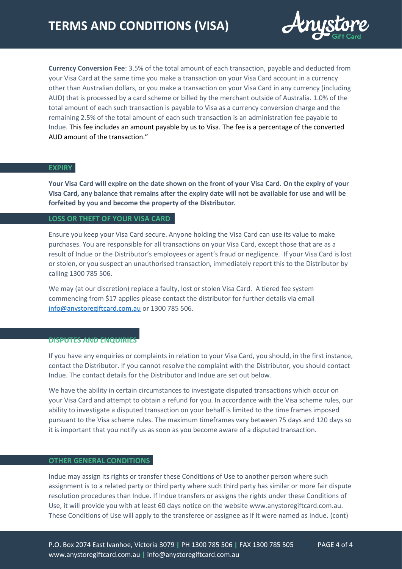

**Currency Conversion Fee**: 3.5% of the total amount of each transaction, payable and deducted from your Visa Card at the same time you make a transaction on your Visa Card account in a currency other than Australian dollars, or you make a transaction on your Visa Card in any currency (including AUD) that is processed by a card scheme or billed by the merchant outside of Australia. 1.0% of the total amount of each such transaction is payable to Visa as a currency conversion charge and the remaining 2.5% of the total amount of each such transaction is an administration fee payable to Indue. This fee includes an amount payable by us to Visa. The fee is a percentage of the converted AUD amount of the transaction."

# **EXPIRY**

**Your Visa Card will expire on the date shown on the front of your Visa Card. On the expiry of your Visa Card, any balance that remains after the expiry date will not be available for use and will be forfeited by you and become the property of the Distributor.** 

#### **LOSS OR THEFT OF YOUR VISA CARD**

Ensure you keep your Visa Card secure. Anyone holding the Visa Card can use its value to make purchases. You are responsible for all transactions on your Visa Card, except those that are as a result of Indue or the Distributor's employees or agent's fraud or negligence. If your Visa Card is lost or stolen, or you suspect an unauthorised transaction, immediately report this to the Distributor by calling 1300 785 506.

We may (at our discretion) replace a faulty, lost or stolen Visa Card. A tiered fee system commencing from \$17 applies please contact the distributor for further details via email [info@anystoregiftcard.com.au](mailto:info@anystoregiftcard.com.au) or 1300 785 506.

#### **DISPUTES AND ENQUIRIES**

If you have any enquiries or complaints in relation to your Visa Card, you should, in the first instance, contact the Distributor. If you cannot resolve the complaint with the Distributor, you should contact Indue. The contact details for the Distributor and Indue are set out below.

We have the ability in certain circumstances to investigate disputed transactions which occur on your Visa Card and attempt to obtain a refund for you. In accordance with the Visa scheme rules, our ability to investigate a disputed transaction on your behalf is limited to the time frames imposed pursuant to the Visa scheme rules. The maximum timeframes vary between 75 days and 120 days so it is important that you notify us as soon as you become aware of a disputed transaction.

## **OTHER GENERAL CONDITIONS**

Indue may assign its rights or transfer these Conditions of Use to another person where such assignment is to a related party or third party where such third party has similar or more fair dispute resolution procedures than Indue. If Indue transfers or assigns the rights under these Conditions of Use, it will provide you with at least 60 days notice on the website www.anystoregiftcard.com.au. These Conditions of Use will apply to the transferee or assignee as if it were named as Indue. (cont)